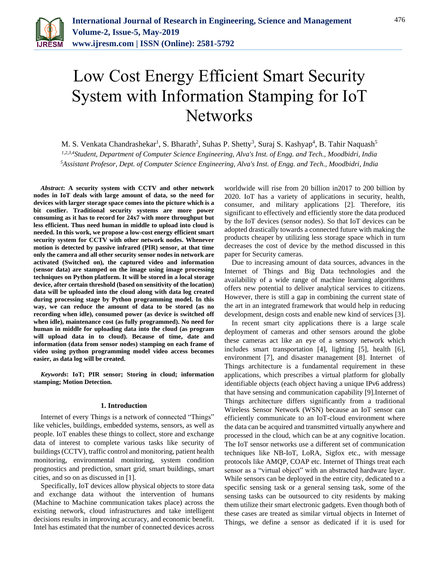

# Low Cost Energy Efficient Smart Security System with Information Stamping for IoT **Networks**

M. S. Venkata Chandrashekar<sup>1</sup>, S. Bharath<sup>2</sup>, Suhas P. Shetty<sup>3</sup>, Suraj S. Kashyap<sup>4</sup>, B. Tahir Naquash<sup>5</sup> *1,2,3,4Student, Department of Computer Science Engineering, Alva's Inst. of Engg. and Tech., Moodbidri, India <sup>5</sup>Assistant Profesor, Dept. of Computer Science Engineering, Alva's Inst. of Engg. and Tech., Moodbidri, India*

*Abstract***: A security system with CCTV and other network nodes in IoT deals with large amount of data, so the need for devices with larger storage space comes into the picture which is a bit costlier. Traditional security systems are more power consuming as it has to record for 24x7 with more throughput but less efficient. Thus need human in middle to upload into cloud is needed. In this work, we propose a low-cost energy efficient smart security system for CCTV with other network nodes. Whenever motion is detected by passive infrared (PIR) sensor, at that time only the camera and all other security sensor nodes in network are activated (Switched on), the captured video and information (sensor data) are stamped on the image using image processing techniques on Python platform. It will be stored in a local storage device, after certain threshold (based on sensitivity of the location) data will be uploaded into the cloud along with data log created during processing stage by Python programming model. In this way, we can reduce the amount of data to be stored (as no recording when idle), consumed power (as device is switched off when idle), maintenance cost (as fully programmed). No need for human in middle for uploading data into the cloud (as program will upload data in to cloud). Because of time, date and information (data from sensor nodes) stamping on each frame of video using python programming model video access becomes easier, as data log will be created.**

*Keywords***: IoT; PIR sensor; Storing in cloud; information stamping; Motion Detection.**

### **1. Introduction**

Internet of every Things is a network of connected "Things" like vehicles, buildings, embedded systems, sensors, as well as people. IoT enables these things to collect, store and exchange data of interest to complete various tasks like security of buildings (CCTV), traffic control and monitoring, patient health monitoring, environmental monitoring, system condition prognostics and prediction, smart grid, smart buildings, smart cities, and so on as discussed in [1].

Specifically, IoT devices allow physical objects to store data and exchange data without the intervention of humans (Machine to Machine communication takes place) across the existing network, cloud infrastructures and take intelligent decisions results in improving accuracy, and economic benefit. Intel has estimated that the number of connected devices across

worldwide will rise from 20 billion in2017 to 200 billion by 2020. IoT has a variety of applications in security, health, consumer, and military applications [2]. Therefore, itis significant to effectively and efficiently store the data produced by the IoT devices (sensor nodes). So that IoT devices can be adopted drastically towards a connected future with making the products cheaper by utilizing less storage space which in turn decreases the cost of device by the method discussed in this paper for Security cameras.

Due to increasing amount of data sources, advances in the Internet of Things and Big Data technologies and the availability of a wide range of machine learning algorithms offers new potential to deliver analytical services to citizens. However, there is still a gap in combining the current state of the art in an integrated framework that would help in reducing development, design costs and enable new kind of services [3].

In recent smart city applications there is a large scale deployment of cameras and other sensors around the globe these cameras act like an eye of a sensory network which includes smart transportation [4], lighting [5], health [6], environment [7], and disaster management [8]. Internet of Things architecture is a fundamental requirement in these applications, which prescribes a virtual platform for globally identifiable objects (each object having a unique IPv6 address) that have sensing and communication capability [9].Internet of Things architecture differs significantly from a traditional Wireless Sensor Network (WSN) because an IoT sensor can efficiently communicate to an IoT-cloud environment where the data can be acquired and transmitted virtually anywhere and processed in the cloud, which can be at any cognitive location. The IoT sensor networks use a different set of communication techniques like NB-IoT, LoRA, Sigfox etc., with message protocols like AMQP, COAP etc. Internet of Things treat each sensor as a "virtual object" with an abstracted hardware layer. While sensors can be deployed in the entire city, dedicated to a specific sensing task or a general sensing task, some of the sensing tasks can be outsourced to city residents by making them utilize their smart electronic gadgets. Even though both of these cases are treated as similar virtual objects in Internet of Things, we define a sensor as dedicated if it is used for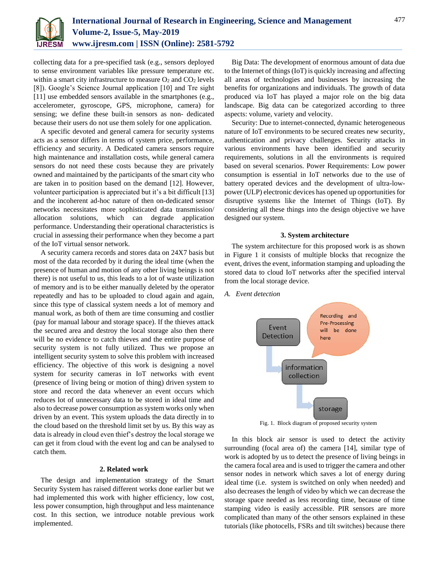

collecting data for a pre-specified task (e.g., sensors deployed to sense environment variables like pressure temperature etc. within a smart city infrastructure to measure  $O_2$  and  $CO_2$  levels [8]). Google's Science Journal application [10] and Tre sight [11] use embedded sensors available in the smartphones (e.g., accelerometer, gyroscope, GPS, microphone, camera) for sensing; we define these built-in sensors as non- dedicated because their users do not use them solely for one application.

A specific devoted and general camera for security systems acts as a sensor differs in terms of system price, performance, efficiency and security. A Dedicated camera sensors require high maintenance and installation costs, while general camera sensors do not need these costs because they are privately owned and maintained by the participants of the smart city who are taken in to position based on the demand [12]. However, volunteer participation is appreciated but it's a bit difficult [13] and the incoherent ad-hoc nature of then on-dedicated sensor networks necessitates more sophisticated data transmission/ allocation solutions, which can degrade application performance. Understanding their operational characteristics is crucial in assessing their performance when they become a part of the IoT virtual sensor network.

A security camera records and stores data on 24X7 basis but most of the data recorded by it during the ideal time (when the presence of human and motion of any other living beings is not there) is not useful to us, this leads to a lot of waste utilization of memory and is to be either manually deleted by the operator repeatedly and has to be uploaded to cloud again and again, since this type of classical system needs a lot of memory and manual work, as both of them are time consuming and costlier (pay for manual labour and storage space). If the thieves attack the secured area and destroy the local storage also then there will be no evidence to catch thieves and the entire purpose of security system is not fully utilized. Thus we propose an intelligent security system to solve this problem with increased efficiency. The objective of this work is designing a novel system for security cameras in IoT networks with event (presence of living being or motion of thing) driven system to store and record the data whenever an event occurs which reduces lot of unnecessary data to be stored in ideal time and also to decrease power consumption as system works only when driven by an event. This system uploads the data directly in to the cloud based on the threshold limit set by us. By this way as data is already in cloud even thief's destroy the local storage we can get it from cloud with the event log and can be analysed to catch them.

### **2. Related work**

The design and implementation strategy of the Smart Security System has raised different works done earlier but we had implemented this work with higher efficiency, low cost, less power consumption, high throughput and less maintenance cost. In this section, we introduce notable previous work implemented.

Big Data: The development of enormous amount of data due to the Internet of things (IoT) is quickly increasing and affecting all areas of technologies and businesses by increasing the benefits for organizations and individuals. The growth of data produced via IoT has played a major role on the big data landscape. Big data can be categorized according to three aspects: volume, variety and velocity.

Security: Due to internet-connected, dynamic heterogeneous nature of IoT environments to be secured creates new security, authentication and privacy challenges. Security attacks in various environments have been identified and security requirements, solutions in all the environments is required based on several scenarios. Power Requirements: Low power consumption is essential in IoT networks due to the use of battery operated devices and the development of ultra-lowpower (ULP) electronic devices has opened up opportunities for disruptive systems like the Internet of Things (IoT). By considering all these things into the design objective we have designed our system.

#### **3. System architecture**

The system architecture for this proposed work is as shown in Figure 1 it consists of multiple blocks that recognize the event, drives the event, information stamping and uploading the stored data to cloud IoT networks after the specified interval from the local storage device.

## *A. Event detection*



Fig. 1. Block diagram of proposed security system

In this block air sensor is used to detect the activity surrounding (focal area of) the camera [14], similar type of work is adopted by us to detect the presence of living beings in the camera focal area and is used to trigger the camera and other sensor nodes in network which saves a lot of energy during ideal time (i.e. system is switched on only when needed) and also decreases the length of video by which we can decrease the storage space needed as less recording time, because of time stamping video is easily accessible. PIR sensors are more complicated than many of the other sensors explained in these tutorials (like photocells, FSRs and tilt switches) because there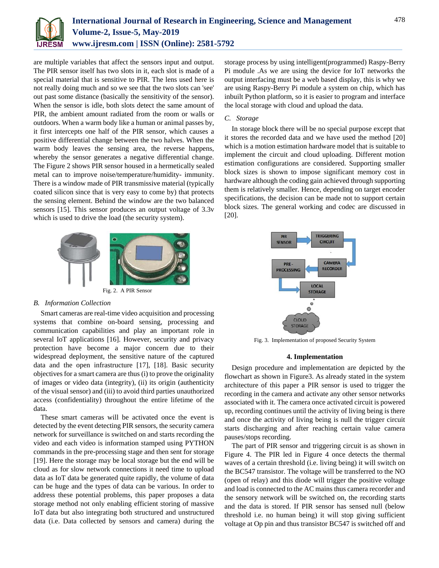

are multiple variables that affect the sensors input and output. The PIR sensor itself has two slots in it, each slot is made of a special material that is sensitive to PIR. The lens used here is not really doing much and so we see that the two slots can 'see' out past some distance (basically the sensitivity of the sensor). When the sensor is idle, both slots detect the same amount of PIR, the ambient amount radiated from the room or walls or outdoors. When a warm body like a human or animal passes by, it first intercepts one half of the PIR sensor, which causes a positive differential change between the two halves. When the warm body leaves the sensing area, the reverse happens, whereby the sensor generates a negative differential change. The Figure 2 shows PIR sensor housed in a hermetically sealed metal can to improve noise/temperature/humidity- immunity. There is a window made of PIR transmissive material (typically coated silicon since that is very easy to come by) that protects the sensing element. Behind the window are the two balanced sensors [15]. This sensor produces an output voltage of 3.3v which is used to drive the load (the security system).



Fig. 2. A PIR Sensor

## *B. Information Collection*

Smart cameras are real-time video acquisition and processing systems that combine on-board sensing, processing and communication capabilities and play an important role in several IoT applications [16]. However, security and privacy protection have become a major concern due to their widespread deployment, the sensitive nature of the captured data and the open infrastructure [17], [18]. Basic security objectives for a smart camera are thus (i) to prove the originality of images or video data (integrity), (ii) its origin (authenticity of the visual sensor) and (iii) to avoid third parties unauthorized access (confidentiality) throughout the entire lifetime of the data.

These smart cameras will be activated once the event is detected by the event detecting PIR sensors, the security camera network for surveillance is switched on and starts recording the video and each video is information stamped using PYTHON commands in the pre-processing stage and then sent for storage [19]. Here the storage may be local storage but the end will be cloud as for slow network connections it need time to upload data as IoT data be generated quite rapidly, the volume of data can be huge and the types of data can be various. In order to address these potential problems, this paper proposes a data storage method not only enabling efficient storing of massive IoT data but also integrating both structured and unstructured data (i.e. Data collected by sensors and camera) during the

storage process by using intelligent(programmed) Raspy-Berry Pi module .As we are using the device for IoT networks the output interfacing must be a web based display, this is why we are using Raspy-Berry Pi module a system on chip, which has inbuilt Python platform, so it is easier to program and interface the local storage with cloud and upload the data.

## *C. Storage*

In storage block there will be no special purpose except that it stores the recorded data and we have used the method [20] which is a motion estimation hardware model that is suitable to implement the circuit and cloud uploading. Different motion estimation configurations are considered. Supporting smaller block sizes is shown to impose significant memory cost in hardware although the coding gain achieved through supporting them is relatively smaller. Hence, depending on target encoder specifications, the decision can be made not to support certain block sizes. The general working and codec are discussed in [20].



Fig. 3. Implementation of proposed Security System

## **4. Implementation**

Design procedure and implementation are depicted by the flowchart as shown in Figure3. As already stated in the system architecture of this paper a PIR sensor is used to trigger the recording in the camera and activate any other sensor networks associated with it. The camera once activated circuit is powered up, recording continues until the activity of living being is there and once the activity of living being is null the trigger circuit starts discharging and after reaching certain value camera pauses/stops recording.

The part of PIR sensor and triggering circuit is as shown in Figure 4. The PIR led in Figure 4 once detects the thermal waves of a certain threshold (i.e. living being) it will switch on the BC547 transistor. The voltage will be transferred to the NO (open of relay) and this diode will trigger the positive voltage and load is connected to the AC mains thus camera recorder and the sensory network will be switched on, the recording starts and the data is stored. If PIR sensor has sensed null (below threshold i.e. no human being) it will stop giving sufficient voltage at Op pin and thus transistor BC547 is switched off and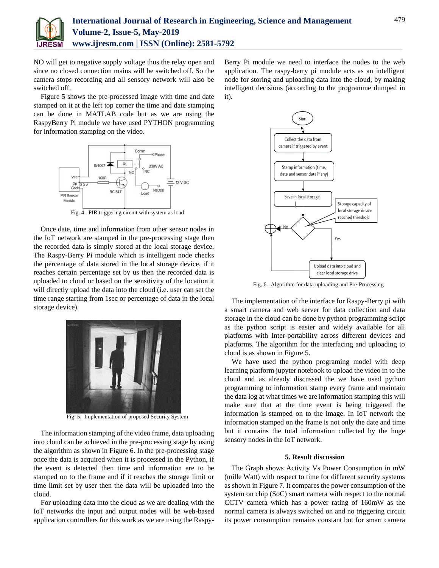

NO will get to negative supply voltage thus the relay open and since no closed connection mains will be switched off. So the camera stops recording and all sensory network will also be switched off.

Figure 5 shows the pre-processed image with time and date stamped on it at the left top corner the time and date stamping can be done in MATLAB code but as we are using the RaspyBerry Pi module we have used PYTHON programming for information stamping on the video.



Fig. 4. PIR triggering circuit with system as load

Once date, time and information from other sensor nodes in the IoT network are stamped in the pre-processing stage then the recorded data is simply stored at the local storage device. The Raspy-Berry Pi module which is intelligent node checks the percentage of data stored in the local storage device, if it reaches certain percentage set by us then the recorded data is uploaded to cloud or based on the sensitivity of the location it will directly upload the data into the cloud (i.e. user can set the time range starting from 1sec or percentage of data in the local storage device).



Fig. 5. Implementation of proposed Security System

The information stamping of the video frame, data uploading into cloud can be achieved in the pre-processing stage by using the algorithm as shown in Figure 6. In the pre-processing stage once the data is acquired when it is processed in the Python, if the event is detected then time and information are to be stamped on to the frame and if it reaches the storage limit or time limit set by user then the data will be uploaded into the cloud.

For uploading data into the cloud as we are dealing with the IoT networks the input and output nodes will be web-based application controllers for this work as we are using the RaspyBerry Pi module we need to interface the nodes to the web application. The raspy-berry pi module acts as an intelligent node for storing and uploading data into the cloud, by making intelligent decisions (according to the programme dumped in it).



Fig. 6. Algorithm for data uploading and Pre-Processing

The implementation of the interface for Raspy-Berry pi with a smart camera and web server for data collection and data storage in the cloud can be done by python programming script as the python script is easier and widely available for all platforms with Inter-portability across different devices and platforms. The algorithm for the interfacing and uploading to cloud is as shown in Figure 5.

We have used the python programing model with deep learning platform jupyter notebook to upload the video in to the cloud and as already discussed the we have used python programming to information stamp every frame and maintain the data log at what times we are information stamping this will make sure that at the time event is being triggered the information is stamped on to the image. In IoT network the information stamped on the frame is not only the date and time but it contains the total information collected by the huge sensory nodes in the IoT network.

#### **5. Result discussion**

The Graph shows Activity Vs Power Consumption in mW (mille Watt) with respect to time for different security systems as shown in Figure 7. It compares the power consumption of the system on chip (SoC) smart camera with respect to the normal CCTV camera which has a power rating of 160mW as the normal camera is always switched on and no triggering circuit its power consumption remains constant but for smart camera